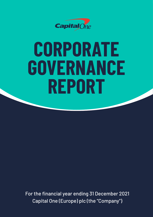

# **CORPORATE GOVERNANCE REPORT**

For the financial year ending 31 December 2021 Capital One (Europe) plc (the "Company")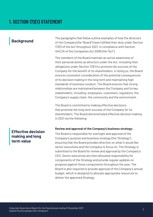## **1. SECTION 172(1) STATEMENT**

The paragraphs that follow outline examples of how the directors<br>of the Company (the "Board") have fulfilled their duty under Section of the Company (the "Board") have fulfilled their duty under Section 172(1) of the Act throughout 2021, in compliance with Section 414CZA of the Companies Act 2006 (the "Act").

> The members of the Board maintain an active awareness of their personal duties as directors under the Act, including their obligations under Section 172(1) to promote the success of the Company for the benefit of its shareholders. In doing so, the Board ensures consistent consideration of the potential consequences of its decision making in the long term and maintaining high standards of business conduct. The Board ensures that strong relationships are maintained between the Company and its key stakeholders, including: employees, customers, regulators, the Company's supply chain, the community and the environment.

The Board is committed to making effective decisions that promote the long term success of the Company for its shareholders. The Board demonstrated effective decision making in 2021 via the following:

### **Review and approval of the Company's business strategy:**

The Board is responsible for oversight and approval of the Company's purpose and business strategy (the "Strategy"), ensuring that the Board provides direction on what it would like senior executives and the Company to focus on. The Strategy is submitted to the Board for review and approval by the Company's CEO. Senior executives are then allocated responsibility for components of the Strategy and provide regular updates on progress against those components throughout the year. The Board is also required to provide approval of the Company's annual budget, which is designed to allocate appropriate resources to deliver the approved Strategy.

## **Effective decision making and long term value**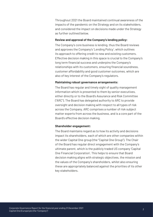Throughout 2021 the Board maintained continual awareness of the impacts of the pandemic on the Strategy and on its stakeholders, and considered the impact on decisions made under the Strategy as further outlined below.

#### **Review and approval of the Company's lending policy:**

The Company's core business is lending, thus the Board reviews and approves the Company's 'Lending Policy', which outlines its approach to offering credit to new and existing customers. Effective decision making in this space is crucial to the Company's long term financial success and underpins the Company's relationships with its customers, ensuring financial soundness, customer affordability and good customer outcomes, which are also of key interest of the Company's regulators.

#### **Maintaining robust governance arrangements:**

The Board has regular and timely sight of quality management information which is presented to them by senior executives, either directly or to the Board's Assurance and Risk Committee ("ARC"). The Board has delegated authority to ARC to provide oversight and decision making with respect to all types of risk across the Company. ARC comprises a number of risk subject matter experts from across the business, and is a core part of the Board's effective decision making.

#### **Shareholder engagement:**

The Board maintains regard as to how its activity and decisions impact its shareholders, each of which are other companies within the wider Capital One group (the "Capital One Group"). The Chair of the Board has regular direct engagement with the Company's ultimate parent, which is the publicly traded US company 'Capital One Financial Corporation'. This helps to ensure that Board decision making aligns with strategic objectives, the mission and the values of the Company's shareholders, whilst also ensuring these are appropriately balanced against the priorities of its other key stakeholders.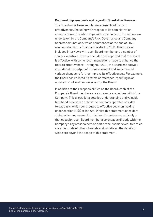#### **Continual improvements and regard to Board effectiveness:**

The Board undertakes regular assessments of its own effectiveness, including with respect to its administration, composition and relationships with stakeholders. The last review, undertaken by the Company's Risk, Governance and Company Secretarial functions, which commenced at the end of 2020, was reported to the Board at the start of 2021. This process included interviews with each Board member and a number of senior executives. It was concluded and reported that the Board is effective, with some recommendations made to enhance the Board's effectiveness. Throughout 2021, the Board has actively considered the output of this assessment and implemented various changes to further improve its effectiveness. For example, the Board has updated its terms of reference, resulting in an updated list of 'matters reserved for the Board'.

In addition to their responsibilities on the Board, each of the Company's Board members are also senior executives within the Company. This allows for a detailed understanding and valuable first hand experience of how the Company operates on a day to day basis, which contributes to effective decision making under section 172(1) of the Act. Whilst this statement considers stakeholder engagement of the Board members specifically in that capacity, each Board member also engages directly with the Company's key stakeholders as part of their senior executive roles, via a multitude of other channels and initiatives, the details of which are beyond the scope of this statement.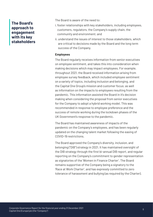## **The Board's approach to engagement with its key stakeholders**

The Board is aware of the need to:

- i. foster relationships with key stakeholders, including employees, customers, regulators, the Company's supply chain, the community and environment; and
- ii. understand the issues of interest to those stakeholders, which are critical to decisions made by the Board and the long term success of the Company.

#### **Employees**

The Board regularly receives information from senior executives on employee sentiment, and takes this into consideration when making decisions which may impact employees. For example, throughout 2021, the Board received information arising from employee survey feedback, which included employee sentiment on a variety of topics, including inclusion and belonging, and the Capital One Group's mission and customer focus; as well as information on the impacts to employees resulting from the pandemic. This information assisted the Board in it's decision making when considering the proposal from senior executives for the Company to adopt a hybrid working model. This was recommended in response to employee preference and the success of remote working during the lockdown phases of the UK Government's response to the pandemic.

The Board has maintained awareness of impacts of the pandemic on the Company's employees, and has been regularly updated on the changing talent market following the easing of COVID-19 restrictions.

The Board approved the Company's diversity, inclusion, and belonging ("DIB") strategy in 2021. It has maintained oversight of the DIB strategy through the first bi-annual DIB report, and regular reporting on the Company's commitment to gender representation as signatories of the 'Women in Finance Charter'. The Board remains supportive of the Company being a signatory to the 'Race at Work Charter', and has expressly committed to zero tolerance of harassment and bullying (as required by the Charter).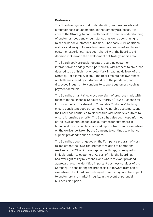#### **Customers**

The Board recognises that understanding customer needs and circumstances is fundamental to the Company's success. It is core to the Strategy to continually develop a deeper understanding of customer needs and circumstances, as well as continuing to raise the bar on customer outcomes. Since early 2021, additional metrics and insight, focused on the understanding of end to end customer experience, have been shared with the Board to aid decision making and the development of Strategy in this area.

The Board receives regular updates regarding customer interaction and engagement, particularly with respect to any areas deemed to be of high risk or potentially impacting delivery of the Strategy. For example, in 2021, the Board maintained awareness of challenges faced by customers due to the pandemic, and discussed industry interventions to support customers, such as payment deferrals.

The Board has maintained close oversight of progress made with respect to the Financial Conduct Authority's ("FCA") 'Guidance for Firms on the Fair Treatment of Vulnerable Customers', looking to ensure consistent good outcomes for vulnerable customers, and the Board has continued to discuss this with senior executives to ensure it remains a priority. The Board has also been kept informed of the FCA's continued focus on outcomes for customers in financial difficulty and has received reports from senior executives on the work undertaken by the Company to continue to enhance support provided to such customers.

The Board has been engaged on the Company's program of work to implement the FCA's requirements relating to operational resilience in 2021, which amongst other things, is designed to limit disruption to customers. As part of this, the Board has had oversight of key milestones, and where relevant provided approvals , e.g. the identified important business services of the Company. In considering the proposals put forward from senior executives, the Board has had regard to reducing potential impact to customers and market integrity, in the event of potential business disruption.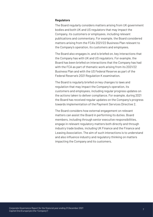#### **Regulators**

The Board regularly considers matters arising from UK government bodies and both UK and US regulators that may impact the Company, its customers or employees, including relevant publications and commentary. For example, the Board considered matters arising from the FCA's 2021/22 Business Plan relevant to the Company's operation, its customers and employees.

The Board also engages in, and is briefed on, key interactions that the Company has with UK and US regulators. For example, the Board has been briefed on interactions that the Company has had with the FCA as part of thematic work arising from its 2021/22 Business Plan and with the US Federal Reserve as part of the Federal Reserve's 2021 Regulation K examination.

The Board is regularly briefed on key changes to laws and regulation that may impact the Company's operation, its customers and employees, including regular progress updates on the actions taken to deliver compliance. For example, during 2021 the Board has received regular updates on the Company's progress towards implementation of the Payment Services Directive 2.

The Board considers how external engagement on relevant matters can assist the Board in performing its duties. Board members, including through senior executive responsibilities, engage in relevant regulatory matters both directly and through industry trade bodies, including UK Finance and the Finance and Leasing Association. The aim of such interactions is to understand and also influence industry and regulatory thinking on matters impacting the Company and its customers.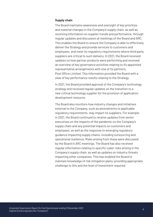#### **Supply chain**

The Board maintains awareness and oversight of key priorities and material changes in the Company's supply chain, as well as receiving information on supplier trends and performance, through regular updates and discussion at meetings of the Board and ARC. This enables the Board to ensure the Company is able to effectively deliver the Strategy and provide services to customers and employees, and meet its regulatory requirements where third party suppliers are critical to such delivery. In 2021, the Board received updates on how partner products were performing and received an overview of key governance activities relating to it's appointed representative arrangements with one of its partners, Post Office Limited. This information provided the Board with a view of key performance results relating to the Strategy.

In 2021, the Board provided approval of the Company's technology strategy and received regular updates on the transition to a new critical technology supplier for the provision of application development resource.

The Board also monitors how industry changes and initiatives external to the Company, such as amendments to applicable regulatory requirements, may impact its suppliers. For example, in 2021, the Board continued to receive updates from senior executives on the impacts of the pandemic on the Company's supply chain and any potential impacts on customers and employees, as well as the response to emerging regulatory guidance impacting supply chains, including outsourcing and operational resilience. Risks arising from these were discussed by the Board in ARC meetings. The Board has also received regular information relating to specific cyber risks arising in the Company's supply chain, as well as updates on industry threats impacting other companies. This has enabled the Board to maintain knowledge of risk mitigation plans; providing appropriate challenge to this and the level of investment required.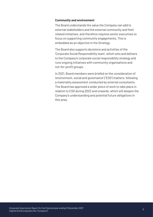#### **Community and environment**

The Board understands the value the Company can add to external stakeholders and the external community and their related initiatives, and therefore requires senior executives to focus on supporting community engagements. This is embedded as an objective in the Strategy.

The Board also supports decisions and activities of the 'Corporate Social Responsibility team', which sets and delivers to the Company's corporate social responsibility strategy and runs ongoing initiatives with community organisations and not-for-profit groups.

In 2021, Board members were briefed on the consideration of 'environment, social and governance' ("ESG") matters, following a materiality assessment conducted by external consultants. The Board has approved a wider piece of work to take place in relation to ESG during 2022 and onwards, which will deepen the Company's understanding and potential future obligations in this area.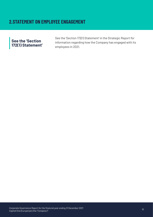## **2.STATEMENT ON EMPLOYEE ENGAGEMENT**

## **See the 'Section 172(1) Statement'**

See the 'Section 172(1) Statement' in the Strategic Report for information regarding how the Company has engaged with its employees in 2021.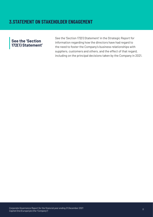## **See the 'Section 172(1) Statement'**

See the 'Section 172(1) Statement' in the Strategic Report for information regarding how the directors have had regard to the need to foster the Company's business relationships with suppliers, customers and others, and the effect of that regard, including on the principal decisions taken by the Company in 2021.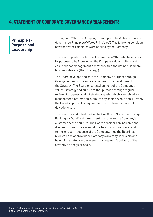## **4. STATEMENT OF CORPORATE GOVERNANCE ARRANGEMENTS**

## **Principle 1 - Purpose and Leadership**

Throughout 2021, the Company has adopted the Wates Corporate Governance Principles ("Wates Principles"). The following considers how the Wates Principles were applied by the Company:

The Board updated its terms of reference in 2021, which declares its purpose to be focusing on the Company values, culture and ensuring that management operates within the defined Company business strategy (the "Strategy").

The Board develops and sets the Company's purpose through its engagement with senior executives in the development of the Strategy. The Board ensures alignment of the Company's values, Strategy and culture to that purpose through regular review of progress against strategic goals, which is received via management information submitted by senior executives. Further, the Board's approval is required for the Strategy, or material deviations to it.

The Board has adopted the Capital One Group Mission to "Change Banking for Good" and looks to set the tone for the Company's customer centric culture. The Board considers an inclusive and diverse culture to be essential to a healthy culture overall and to the long term success of the Company, thus the Board has reviewed and approved the Company's diversity, inclusion, and belonging strategy and oversees management's delivery of that strategy on a regular basis.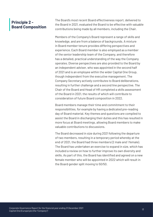## **Principle 2 - Board Composition**

The Board's most recent Board effectiveness report, delivered to the Board in 2021, evaluated the Board to be effective with valuable contributions being made by all members, including the Chair.

Members of the Company's Board represent a range of skills and knowledge, and are from a balance of backgrounds. A mixture in Board member tenure provides differing perspectives and experience. Each Board member is also employed as a member of the senior leadership team of the Company, and therefore has a detailed, practical understanding of the way the Company operates. Diverse perspectives are also provided to the Board by an independent adviser, who was appointed in the second half of 2021 and is an employee within the wider Capital One Group, though independent from the executive management. The Company Secretary actively contributes to Board deliberations, resulting in further challenge and a second line perspective. The Chair of the Board and Head of HR completed a skills assessment of the Board in 2021, the results of which will contribute to consideration of future Board composition in 2022.

Board members manage their time and commitment to their responsibilities, for example by having a dedicated pre-reading day of Board material. Key themes and questions are compiled to assist the Board in discharging their duties and this has resulted in more focus at Board meetings, allowing Board members to make valuable contributions to discussions.

The Board decreased in size during 2021 following the departure of two members, resulting in a temporary period whereby at the end of 2021, the Board had three members (2 male and 1 female). The Board has undertaken an exercise to expand in size, which has included a review on how to further improve its own diversity and skills. As part of this, the Board has identified and agreed on a new female member who will be appointed in 2022 which will result in the Board gender split moving to 50/50.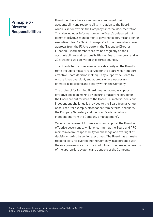## **Principle 3 - Director Responsibilities**

Board members have a clear understanding of their accountability and responsibility in relation to the Board, which is set out within the Company's internal documentation. This also includes information on the Board's delegated risk committee (ARC), management's governance forums and senior executive roles. As 'Senior Managers', all Board members have approval from the FCA to perform the 'Executive Director Function'. Board members are trained regularly on their accountabilities and responsibilities as Board members, and in 2021 training was delivered by external counsel.

The Board's terms of reference provide clarity on the Board's remit including matters reserved for the Board which support effective Board decision making. They support the Board to ensure it has oversight, and approval where necessary, of material decisions and activity within the Company.

The protocol for forming Board meeting agendas supports effective decision making by ensuring matters reserved for the Board are put forward to the Board (i.e. material decisions). Independent challenge is provided to the Board from a variety of sources (for example, attendance from external speakers, the Company Secretary and the Board's adviser who is independent from the Company's management).

Various management forums assist and support the Board with effective governance, whilst ensuring that the Board and ARC maintain overall responsibility for challenge and oversight of decision-making by senior executives. The Board has ultimate responsibility for overseeing the Company in accordance with the risk governance structure it adopts and overseeing operation of the appropriate systems and controls of the Company.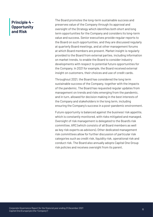## **Principle 4 - Opportunity and Risk**

The Board promotes the long-term sustainable success and preserves value of the Company through its approval and oversight of the Strategy which identifies both short and long term opportunities for the Company and considers its long-term value and success. Senior executives provide regular reports to the Board on such opportunities, and they are discussed regularly at quarterly Board meetings, and at other management forums at which Board members are present. Market insight is regularly provided to the Board from external parties, including information on market trends, to enable the Board to consider industry developments with respect to potential future opportunities for the Company. In 2021 for example, the Board received external insight on customers, their choices and use of credit cards.

Throughout 2021, the Board has considered the long term sustainable success of the Company, together with the impacts of the pandemic. The Board has requested regular updates from management on trends and risks emerging from the pandemic, and in turn, allowed for decision making in the best interests of the Company and stakeholders in the long term, including ensuring the Company's success in a post-pandemic environment.

Future opportunity is balanced against the business' risk appetite, which is constantly monitored, with risks mitigated and managed. Oversight of risk management is delegated to the Board's risk committee, ARC (which consists of all Board members as well as key risk experts as advisors). Other dedicated management risk committees allow for further discussion of particular risk categories such as credit risk, liquidity risk, operational risk and conduct risk. The Board also annually adopts Capital One Group risk policies and receives oversight from its parent.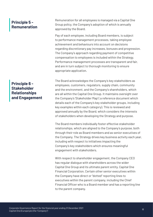## **Principle 5 - Remuneration**

**Principle 6 - Stakeholder Relationships and Engagement**  Remuneration for all employees is managed via a Capital One Group policy, the Company's adoption of which is annually approved by the Board.

Pay of each employee, including Board members, is subject to performance management processes, taking employee achievement and behaviours into account on decisions regarding discretionary pay increases, bonuses and progression. The Company's approach regarding payment of competitive compensation to employees is included within the Strategy. Performance management processes are transparent and fair, and are in turn subject to thorough monitoring to ensure appropriate application.

The Board acknowledges the Company's key stakeholders as employees, customers, regulators, supply chain, community and the environment, and the Company's shareholders, which are all within the Capital One Group. It maintains oversight over the Company's 'Stakeholder Map' ( a reference document which details each of the Company's key stakeholder groups, including key examples within each category). This is reviewed and approved annually by the Board, which considers the interests of stakeholders when developing the Strategy and purpose.

The Board members individually foster effective stakeholder relationships, which are aligned to the Company's purpose, both through their role as Board members and as senior executives of the Company. The Strategy drives key business activity each year, including with respect to initiatives impacting the Company's key stakeholders which ensures meaningful engagement with stakeholders.

With respect to shareholder engagement, the Company CEO has regular dialogue with shareholders across the wider Capital One Group and its ultimate parent entity, Capital One Financial Corporation. Certain other senior executives within the Company have direct or "dotted" reporting lines to executives within the parent company, including the Chief Financial Officer who is a Board member and has a reporting line to the parent company.